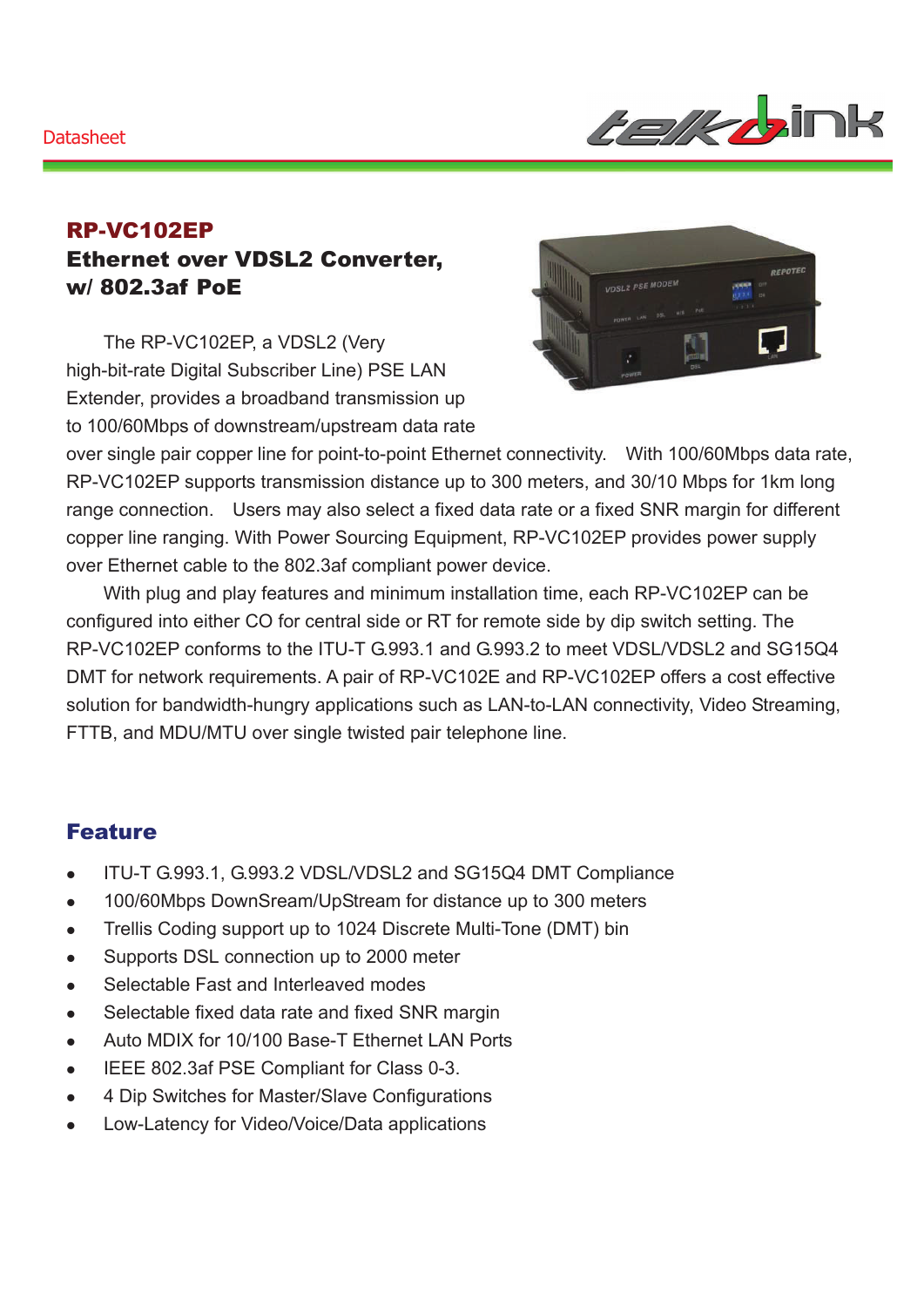#### **Datasheet**



### RP-VC102EP Ethernet over VDSL2 Converter, w/ 802.3af PoE

The RP-VC102EP, a VDSL2 (Very high-bit-rate Digital Subscriber Line) PSE LAN Extender, provides a broadband transmission up to 100/60Mbps of downstream/upstream data rate



over single pair copper line for point-to-point Ethernet connectivity. With 100/60Mbps data rate, RP-VC102EP supports transmission distance up to 300 meters, and 30/10 Mbps for 1km long range connection. Users may also select a fixed data rate or a fixed SNR margin for different copper line ranging. With Power Sourcing Equipment, RP-VC102EP provides power supply over Ethernet cable to the 802.3af compliant power device.

With plug and play features and minimum installation time, each RP-VC102EP can be configured into either CO for central side or RT for remote side by dip switch setting. The RP-VC102EP conforms to the ITU-T G.993.1 and G.993.2 to meet VDSL/VDSL2 and SG15Q4 DMT for network requirements. A pair of RP-VC102E and RP-VC102EP offers a cost effective solution for bandwidth-hungry applications such as LAN-to-LAN connectivity, Video Streaming, FTTB, and MDU/MTU over single twisted pair telephone line.

### Feature

- ITU-T G.993.1, G.993.2 VDSL/VDSL2 and SG15Q4 DMT Compliance
- 100/60Mbps DownSream/UpStream for distance up to 300 meters
- Trellis Coding support up to 1024 Discrete Multi-Tone (DMT) bin
- Supports DSL connection up to 2000 meter
- Selectable Fast and Interleaved modes
- Selectable fixed data rate and fixed SNR margin
- Auto MDIX for 10/100 Base-T Ethernet LAN Ports
- **•** IEEE 802.3af PSE Compliant for Class 0-3.
- 4 Dip Switches for Master/Slave Configurations
- Low-Latency for Video/Voice/Data applications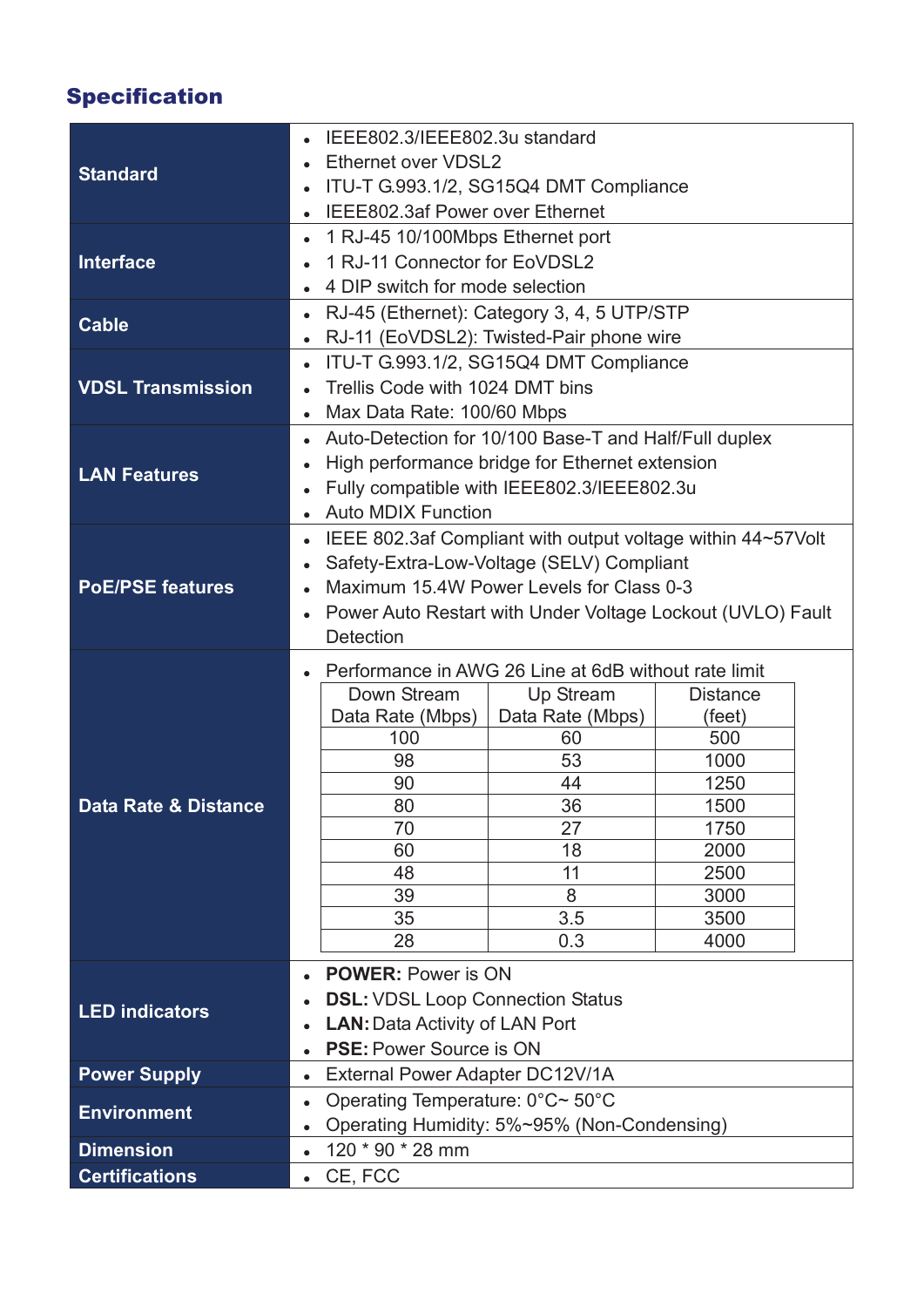# Specification

| <b>Standard</b>                                                   | IEEE802.3/IEEE802.3u standard                                           |                                                             |                 |  |
|-------------------------------------------------------------------|-------------------------------------------------------------------------|-------------------------------------------------------------|-----------------|--|
|                                                                   | Ethernet over VDSL2                                                     |                                                             |                 |  |
|                                                                   | ITU-T G.993.1/2, SG15Q4 DMT Compliance<br>$\bullet$                     |                                                             |                 |  |
|                                                                   | IEEE802.3af Power over Ethernet<br>$\bullet$                            |                                                             |                 |  |
| Interface                                                         | 1 RJ-45 10/100Mbps Ethernet port<br>$\bullet$                           |                                                             |                 |  |
|                                                                   | 1 RJ-11 Connector for EoVDSL2                                           |                                                             |                 |  |
|                                                                   | 4 DIP switch for mode selection                                         |                                                             |                 |  |
|                                                                   | RJ-45 (Ethernet): Category 3, 4, 5 UTP/STP<br>$\bullet$                 |                                                             |                 |  |
| <b>Cable</b>                                                      | $\bullet$                                                               | RJ-11 (EoVDSL2): Twisted-Pair phone wire                    |                 |  |
|                                                                   | ITU-T G.993.1/2, SG15Q4 DMT Compliance<br>$\bullet$                     |                                                             |                 |  |
| <b>VDSL Transmission</b>                                          | Trellis Code with 1024 DMT bins                                         |                                                             |                 |  |
|                                                                   | Max Data Rate: 100/60 Mbps<br>$\bullet$                                 |                                                             |                 |  |
| <b>LAN Features</b>                                               | Auto-Detection for 10/100 Base-T and Half/Full duplex<br>$\bullet$      |                                                             |                 |  |
|                                                                   | High performance bridge for Ethernet extension<br>$\bullet$             |                                                             |                 |  |
|                                                                   | Fully compatible with IEEE802.3/IEEE802.3u<br>$\bullet$                 |                                                             |                 |  |
|                                                                   | <b>Auto MDIX Function</b><br>$\bullet$                                  |                                                             |                 |  |
| <b>PoE/PSE features</b>                                           | $\bullet$                                                               | IEEE 802.3af Compliant with output voltage within 44~57Volt |                 |  |
|                                                                   | Safety-Extra-Low-Voltage (SELV) Compliant<br>$\bullet$                  |                                                             |                 |  |
|                                                                   | Maximum 15.4W Power Levels for Class 0-3<br>$\bullet$                   |                                                             |                 |  |
|                                                                   | Power Auto Restart with Under Voltage Lockout (UVLO) Fault<br>$\bullet$ |                                                             |                 |  |
|                                                                   | Detection                                                               |                                                             |                 |  |
| Performance in AWG 26 Line at 6dB without rate limit<br>$\bullet$ |                                                                         |                                                             |                 |  |
|                                                                   |                                                                         |                                                             |                 |  |
|                                                                   |                                                                         |                                                             |                 |  |
|                                                                   | Down Stream                                                             | Up Stream                                                   | <b>Distance</b> |  |
|                                                                   | Data Rate (Mbps)<br>100                                                 | Data Rate (Mbps)<br>60                                      | (feet)<br>500   |  |
|                                                                   | 98                                                                      | 53                                                          | 1000            |  |
|                                                                   | 90                                                                      | 44                                                          | 1250            |  |
| Data Rate & Distance                                              | 80                                                                      | 36                                                          | 1500            |  |
|                                                                   | 70                                                                      | 27                                                          | 1750            |  |
|                                                                   | 60                                                                      | 18                                                          | 2000            |  |
|                                                                   | 48                                                                      | 11                                                          | 2500            |  |
|                                                                   | 39                                                                      | 8                                                           | 3000            |  |
|                                                                   | 35                                                                      | 3.5                                                         | 3500            |  |
|                                                                   | 28                                                                      | 0.3                                                         | 4000            |  |
|                                                                   | <b>POWER: Power is ON</b><br>$\bullet$                                  |                                                             |                 |  |
| <b>LED indicators</b>                                             |                                                                         | <b>DSL: VDSL Loop Connection Status</b>                     |                 |  |
|                                                                   | <b>LAN: Data Activity of LAN Port</b><br>$\bullet$                      |                                                             |                 |  |
|                                                                   | <b>PSE: Power Source is ON</b><br>$\bullet$                             |                                                             |                 |  |
| <b>Power Supply</b>                                               | External Power Adapter DC12V/1A<br>$\bullet$                            |                                                             |                 |  |
|                                                                   | Operating Temperature: 0°C~ 50°C<br>$\bullet$                           |                                                             |                 |  |
| <b>Environment</b>                                                | $\bullet$                                                               | Operating Humidity: 5%~95% (Non-Condensing)                 |                 |  |
| <b>Dimension</b><br><b>Certifications</b>                         | 120 * 90 * 28 mm<br>$\bullet$<br>CE, FCC                                |                                                             |                 |  |